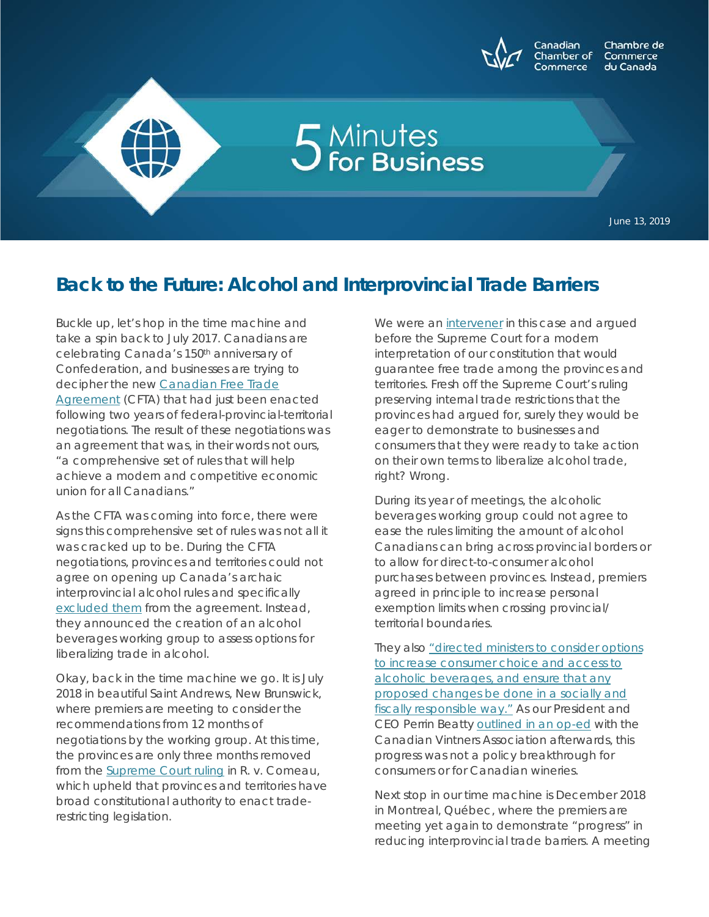

*June 13, 2019*

5 Minutes<br>5 For Business

## **Back to the Future: Alcohol and Interprovincial Trade Barriers**

Buckle up, let's hop in the time machine and take a spin back to July 2017. Canadians are celebrating Canada's 150th anniversary of Confederation, and businesses are trying to decipher the new [Canadian Free Trade](https://www.cfta-alec.ca/wp-content/uploads/2017/06/CFTA-general-backgrounder.pdf)  [Agreement](https://www.cfta-alec.ca/wp-content/uploads/2017/06/CFTA-general-backgrounder.pdf) (CFTA) that had just been enacted following two years of federal-provincial-territorial negotiations. The result of these negotiations was an agreement that was, in their words not ours, "a comprehensive set of rules that will help achieve a modern and competitive economic union for all Canadians."

As the CFTA was coming into force, there were signs this comprehensive set of rules was not all it was cracked up to be. During the CFTA negotiations, provinces and territories could not agree on opening up Canada's archaic interprovincial alcohol rules and specifically [excluded them](https://globalnews.ca/news/3364019/forget-that-out-of-province-beer-on-booze-and-most-other-things-new-interprovincial-trade-deal-falls-short/) from the agreement. Instead, they announced the creation of an alcohol beverages working group to assess options for liberalizing trade in alcohol.

Okay, back in the time machine we go. It is July 2018 in beautiful Saint Andrews, New Brunswick, where premiers are meeting to consider the recommendations from 12 months of negotiations by the working group. At this time, the provinces are only three months removed from the [Supreme Court ruling](https://www.scc-csc.ca/case-dossier/cb/37398-eng.pdf) in *R. v. Comeau*, which upheld that provinces and territories have broad constitutional authority to enact traderestricting legislation.

We were an [intervener](http://www.chamber.ca/download.aspx?t=0&pid=c5ae0926-c8d9-e711-bdc7-005056a00b05) in this case and argued before the Supreme Court for a modern interpretation of our constitution that would guarantee free trade among the provinces and territories. Fresh off the Supreme Court's ruling preserving internal trade restrictions that the provinces had argued for, surely they would be eager to demonstrate to businesses and consumers that they were ready to take action on their own terms to liberalize alcohol trade, right? Wrong.

During its year of meetings, the alcoholic beverages working group could not agree to ease the rules limiting the amount of alcohol Canadians can bring across provincial borders or to allow for direct-to-consumer alcohol purchases between provinces. Instead, premiers agreed in principle to increase personal exemption limits when crossing provincial/ territorial boundaries.

They also ["directed ministers to consider options](http://www.canadaspremiers.ca/wp-content/uploads/2018/07/Communique-Internal_Trade_July20_FINAL2.pdf)  [to increase consumer choice and](http://www.canadaspremiers.ca/wp-content/uploads/2018/07/Communique-Internal_Trade_July20_FINAL2.pdf) access to [alcoholic beverages, and ensure that any](http://www.canadaspremiers.ca/wp-content/uploads/2018/07/Communique-Internal_Trade_July20_FINAL2.pdf)  [proposed changes be done in a socially and](http://www.canadaspremiers.ca/wp-content/uploads/2018/07/Communique-Internal_Trade_July20_FINAL2.pdf)  [fiscally responsible way."](http://www.canadaspremiers.ca/wp-content/uploads/2018/07/Communique-Internal_Trade_July20_FINAL2.pdf) As our President and CEO Perrin Beatty [outlined in an op-ed](https://nationalpost.com/opinion/latest-interprovincial-wine-trade-proposals-not-much-to-cheer-about) with the Canadian Vintners Association afterwards, this progress was not a policy breakthrough for consumers or for Canadian wineries.

Next stop in our time machine is December 2018 in Montreal, Québec, where the premiers are meeting yet again to demonstrate "progress" in reducing interprovincial trade barriers. A meeting